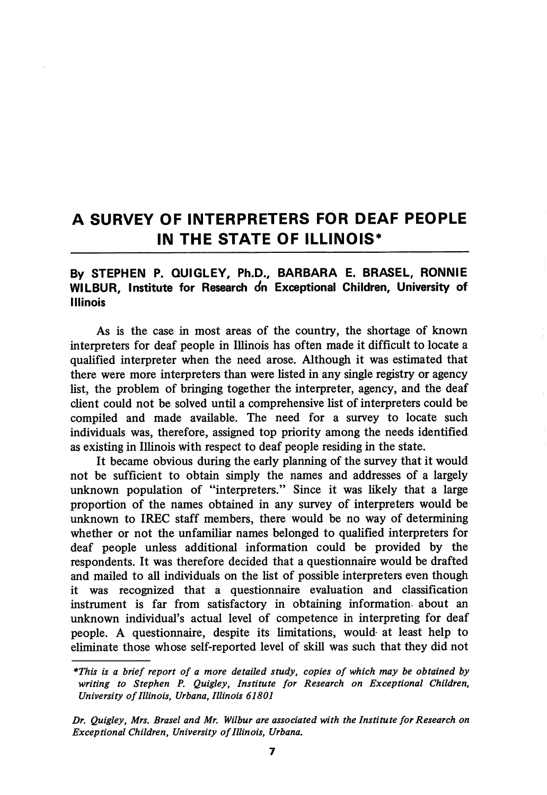# A SURVEY OF INTERPRETERS FOR DEAF PEOPLE IN THE STATE OF ILLINOIS\*

### By STEPHEN P. QUIGLEY, Ph.D., BARBARA E. BRASEL, RONNIE WILBUR, Institute for Research on Exceptional Children, University of Illinois

As is the case in most areas of the country, the shortage of known interpreters for deaf people in Illinois has often made it difficult to locate a qualified interpreter when the need arose. Although it was estimated that there were more interpreters than were listed in any single registry or agency list, the problem of bringing together the interpreter, agency, and the deaf client could not be solved until a comprehensive list of interpreters could be compiled and made available. The need for a survey to locate such individuals was, therefore, assigned top priority among the needs identified as existing in Ilhnois with respect to deaf people residing in the state.

It became obvious during the early planning of the survey that it would not be sufficient to obtain simply the names and addresses of a largely unknown population of "interpreters." Since it was likely that a large proportion of the names obtained in any survey of interpreters would be unknown to IREC staff members, there would be no way of determining whether or not the unfamiliar names belonged to qualified interpreters for deaf people unless additional information could be provided by the respondents. It was therefore decided that a questionnaire would be drafted and mailed to all individuals on the list of possible interpreters even though it was recognized that a questionnaire evaluation and classification instrument is far from satisfactory in obtaining information- about an unknown individual's actual level of competence in interpreting for deaf people. A questionnaire, despite its limitations, would- at least help to eliminate those whose self-reported level of skill was such that they did not

<sup>\*</sup>This is a brief report of a more detailed study, copies of which may be obtained by writing to Stephen P. Quigley, Institute for Research on Exceptional Children, University of Illinois, Urbana, Illinois 61801

Dr. Quigley, Mrs. Brasel and Mr. Wilbur are associated with the Institute for Research on Exceptional Children, University of Illinois, Urbana.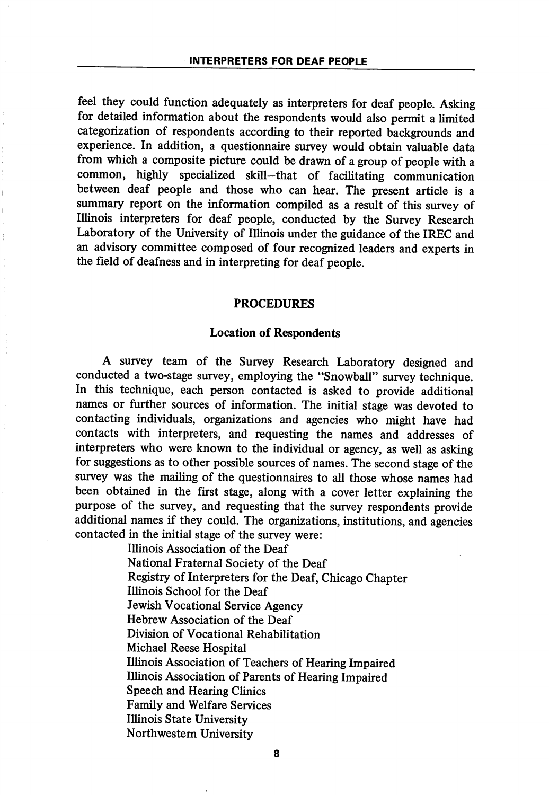feel they could function adequately as interpreters for deaf people. Asking for detailed information about the respondents would also permit a limited categorization of respondents according to their reported backgrounds and experience. In addition, a questionnaire survey would obtain valuable data from which a composite picture could be drawn of a group of people with a common, highly specialized skill—that of facilitating communication between deaf people and those who can hear. The present article is a summary report on the information compiled as a result of this survey of Illinois interpreters for deaf people, conducted by the Survey Research Laboratory of the University of Ilhnois under the guidance of the IREC and an advisory committee composed of four recognized leaders and experts in the field of deafness and in interpreting for deaf people.

#### PROCEDURES

#### Location of Respondents

A survey team of the Survey Research Laboratory designed and conducted a two-stage survey, employing the "Snowball" survey technique. In this technique, each person contacted is asked to provide additional names or further sources of information. The initial stage was devoted to contacting individuals, organizations and agencies who might have had contacts with interpreters, and requesting the names and addresses of interpreters who were known to the individual or agency, as well as asking for suggestions as to other possible sources of names. The second stage of the survey was the mailing of the questionnaires to all those whose names had been obtained in the first stage, along with a cover letter explaining the purpose of the survey, and requesting that the survey respondents provide additional names if they could. The organizations, institutions, and agencies contacted in the initial stage of the survey were:

> Illinois Association of the Deaf National Fraternal Society of the Deaf Registry of Interpreters for the Deaf, Chicago Chapter Illinois School for the Deaf Jewish Vocational Service Agency Hebrew Association of the Deaf Division of Vocational Rehabilitation Michael Reese Hospital Illinois Association of Teachers of Hearing Impaired Illinois Association of Parents of Hearing Impaired Speech and Hearing Clinics Family and Welfare Services Illinois State University Northwestem University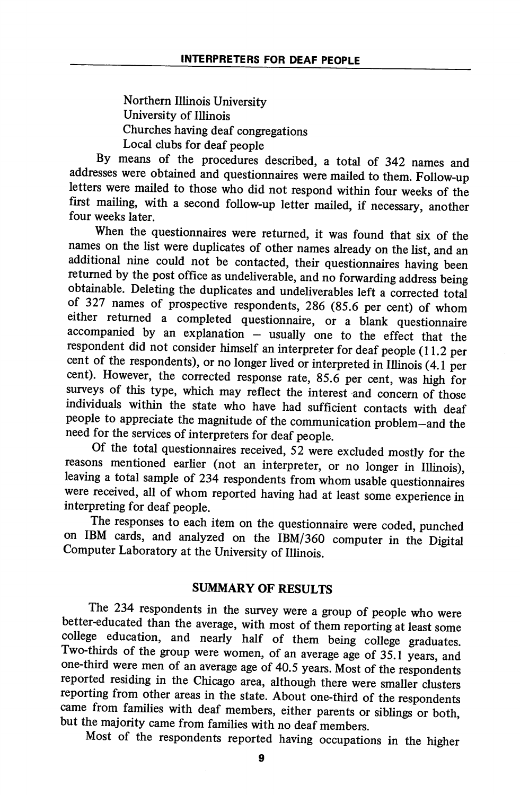Northern Illinois University University of Illinois Churches having deaf congregations Local clubs for deaf people

By means of the procedures described, a total of 342 names and addresses were obtained and questionnaires were mailed to them. Follow-up letters were mailed to those who did not respond within four weeks of the first mailing, with a second follow-up letter mailed, if necessary, another four weeks later.

When the questionnaires were returned, it was found that six of the names on the list were duplicates of other names already on the list, and an additional nine could not be contacted, their questionnaires having been returned by the post office as undeliverable, and no forwarding address being obtainable. Deleting the duplicates and undeliverables left a corrected total of 327 names of prospective respondents, 286 (85.6 per cent) of whom either returned a completed questionnaire, or a blank questionnaire accompanied by an explanation — usually one to the effect that the respondent did not consider himself an interpreter for deaf people (11.2 per cent of the respondents), or no longer lived or interpreted in IlUnois (4.1 per cent). However, the corrected response rate, 85.6 per cent, was high for surveys of this type, which may reflect the interest and concern of those individuals within the state who have had sufficient contacts with deaf people to appreciate the magnitude of the communication problem—and the need for the services of interpreters for deaf people.

Of the total questionnaires received, 52 were excluded mostly for the reasons mentioned earlier (not an interpreter, or no longer in Illinois), leaving a total sample of 234 respondents from whom usable questionnaires were received, all of whom reported having had at least some experience in interpreting for deaf people.

The responses to each item on the questionnaire were coded, punched on IBM cards, and analyzed on the IBM/360 computer in the Digital Computer Laboratory at the University of Illinois

## SUMMARY OF RESULTS

The 234 respondents in the survey were a group of people who were better-educated than the average, with most of them reporting at least some college education, and nearly half of them being college graduates. Two-thirds of the group were women, of an average age of 35.1 years, and one-third were men of an average age of 40.5 years. Most of the respondents reported residing in the Chicago area, although there were smaller clusters reporting from other areas in the state. About one-third of the respondents came from families with deaf members, either parents or siblings or both, but the majority came from families with no deaf members.

Most of the respondents reported having occupations in the higher